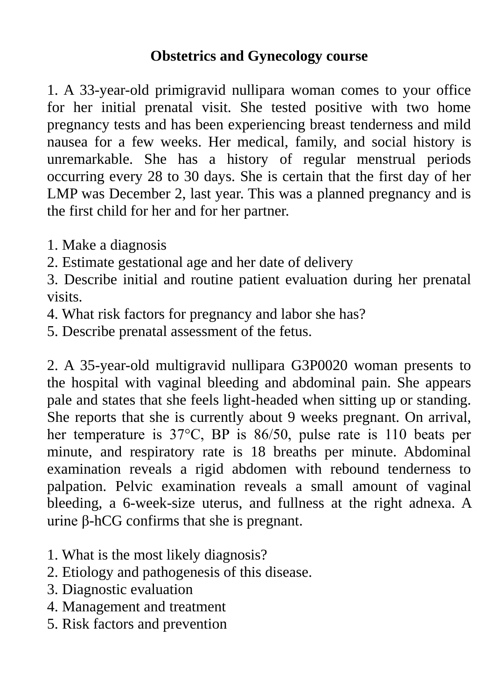## **Obstetrics and Gynecology course**

1. A 33-year-old primigravid nullipara woman comes to your office for her initial prenatal visit. She tested positive with two home pregnancy tests and has been experiencing breast tenderness and mild nausea for a few weeks. Her medical, family, and social history is unremarkable. She has a history of regular menstrual periods occurring every 28 to 30 days. She is certain that the first day of her LMP was December 2, last year. This was a planned pregnancy and is the first child for her and for her partner.

- 1. Make a diagnosis
- 2. Estimate gestational age and her date of delivery

3. Describe initial and routine patient evaluation during her prenatal visits.

- 4. What risk factors for pregnancy and labor she has?
- 5. Describe prenatal assessment of the fetus.

2. A 35-year-old multigravid nullipara G3P0020 woman presents to the hospital with vaginal bleeding and abdominal pain. She appears pale and states that she feels light-headed when sitting up or standing. She reports that she is currently about 9 weeks pregnant. On arrival, her temperature is 37°C, BP is 86/50, pulse rate is 110 beats per minute, and respiratory rate is 18 breaths per minute. Abdominal examination reveals a rigid abdomen with rebound tenderness to palpation. Pelvic examination reveals a small amount of vaginal bleeding, a 6-week-size uterus, and fullness at the right adnexa. A urine β-hCG confirms that she is pregnant.

- 1. What is the most likely diagnosis?
- 2. Etiology and pathogenesis of this disease.
- 3. Diagnostic evaluation
- 4. Management and treatment
- 5. Risk factors and prevention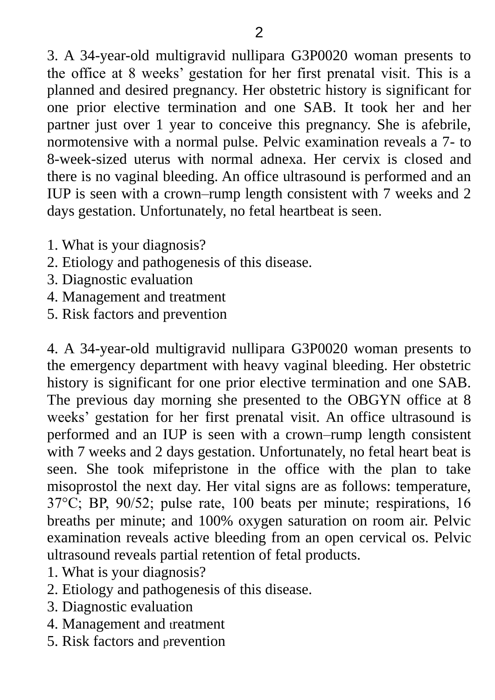3. A 34-year-old multigravid nullipara G3P0020 woman presents to the office at 8 weeks' gestation for her first prenatal visit. This is a planned and desired pregnancy. Her obstetric history is significant for one prior elective termination and one SAB. It took her and her partner just over 1 year to conceive this pregnancy. She is afebrile, normotensive with a normal pulse. Pelvic examination reveals a 7- to 8-week-sized uterus with normal adnexa. Her cervix is closed and there is no vaginal bleeding. An office ultrasound is performed and an IUP is seen with a crown–rump length consistent with 7 weeks and 2 days gestation. Unfortunately, no fetal heartbeat is seen.

- 1. What is your diagnosis?
- 2. Etiology and pathogenesis of this disease.
- 3. Diagnostic evaluation
- 4. Management and treatment
- 5. Risk factors and prevention

4. A 34-year-old multigravid nullipara G3P0020 woman presents to the emergency department with heavy vaginal bleeding. Her obstetric history is significant for one prior elective termination and one SAB. The previous day morning she presented to the OBGYN office at 8 weeks' gestation for her first prenatal visit. An office ultrasound is performed and an IUP is seen with a crown–rump length consistent with 7 weeks and 2 days gestation. Unfortunately, no fetal heart beat is seen. She took mifepristone in the office with the plan to take misoprostol the next day. Her vital signs are as follows: temperature, 37°C; BP, 90/52; pulse rate, 100 beats per minute; respirations, 16 breaths per minute; and 100% oxygen saturation on room air. Pelvic examination reveals active bleeding from an open cervical os. Pelvic ultrasound reveals partial retention of fetal products.

- 1. What is your diagnosis?
- 2. Etiology and pathogenesis of this disease.
- 3. Diagnostic evaluation
- 4. Management and treatment
- 5. Risk factors and prevention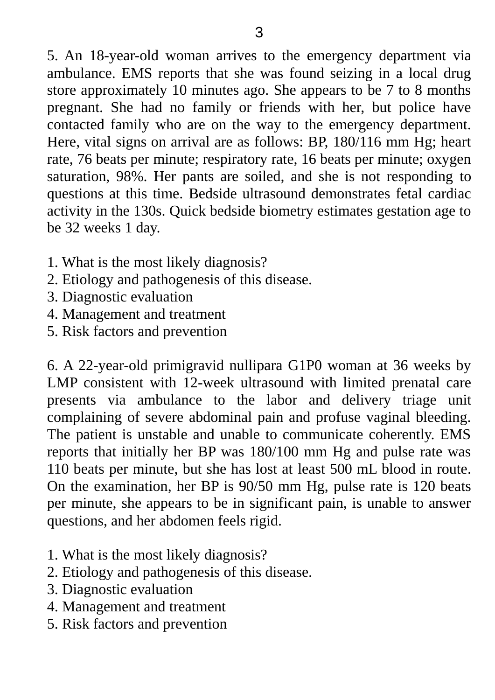5. An 18-year-old woman arrives to the emergency department via ambulance. EMS reports that she was found seizing in a local drug store approximately 10 minutes ago. She appears to be 7 to 8 months pregnant. She had no family or friends with her, but police have contacted family who are on the way to the emergency department. Here, vital signs on arrival are as follows: BP, 180/116 mm Hg; heart rate, 76 beats per minute; respiratory rate, 16 beats per minute; oxygen saturation, 98%. Her pants are soiled, and she is not responding to questions at this time. Bedside ultrasound demonstrates fetal cardiac activity in the 130s. Quick bedside biometry estimates gestation age to be 32 weeks 1 day.

- 1. What is the most likely diagnosis?
- 2. Etiology and pathogenesis of this disease.
- 3. Diagnostic evaluation
- 4. Management and treatment
- 5. Risk factors and prevention

6. A 22-year-old primigravid nullipara G1P0 woman at 36 weeks by LMP consistent with 12-week ultrasound with limited prenatal care presents via ambulance to the labor and delivery triage unit complaining of severe abdominal pain and profuse vaginal bleeding. The patient is unstable and unable to communicate coherently. EMS reports that initially her BP was 180/100 mm Hg and pulse rate was 110 beats per minute, but she has lost at least 500 mL blood in route. On the examination, her BP is 90/50 mm Hg, pulse rate is 120 beats per minute, she appears to be in significant pain, is unable to answer questions, and her abdomen feels rigid.

- 1. What is the most likely diagnosis?
- 2. Etiology and pathogenesis of this disease.
- 3. Diagnostic evaluation
- 4. Management and treatment
- 5. Risk factors and prevention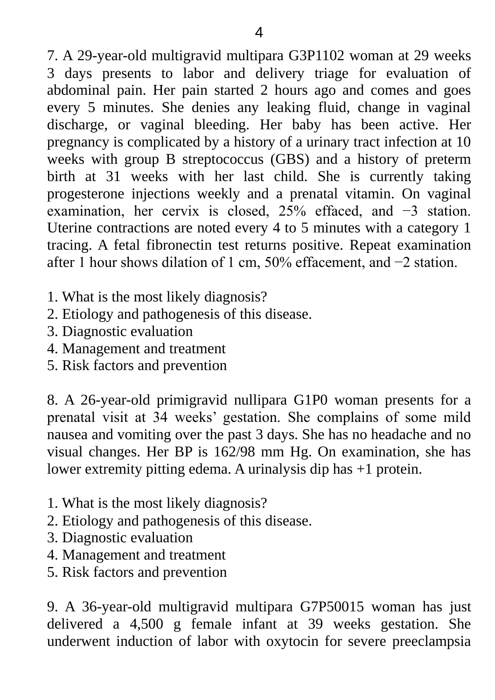7. A 29-year-old multigravid multipara G3P1102 woman at 29 weeks 3 days presents to labor and delivery triage for evaluation of abdominal pain. Her pain started 2 hours ago and comes and goes every 5 minutes. She denies any leaking fluid, change in vaginal discharge, or vaginal bleeding. Her baby has been active. Her pregnancy is complicated by a history of a urinary tract infection at 10 weeks with group B streptococcus (GBS) and a history of preterm birth at 31 weeks with her last child. She is currently taking progesterone injections weekly and a prenatal vitamin. On vaginal examination, her cervix is closed, 25% effaced, and −3 station. Uterine contractions are noted every 4 to 5 minutes with a category 1 tracing. A fetal fibronectin test returns positive. Repeat examination after 1 hour shows dilation of 1 cm, 50% effacement, and −2 station.

- 1. What is the most likely diagnosis?
- 2. Etiology and pathogenesis of this disease.
- 3. Diagnostic evaluation
- 4. Management and treatment
- 5. Risk factors and prevention

8. A 26-year-old primigravid nullipara G1P0 woman presents for a prenatal visit at 34 weeks' gestation. She complains of some mild nausea and vomiting over the past 3 days. She has no headache and no visual changes. Her BP is 162/98 mm Hg. On examination, she has lower extremity pitting edema. A urinalysis dip has +1 protein.

- 1. What is the most likely diagnosis?
- 2. Etiology and pathogenesis of this disease.
- 3. Diagnostic evaluation
- 4. Management and treatment
- 5. Risk factors and prevention

9. A 36-year-old multigravid multipara G7P50015 woman has just delivered a 4,500 g female infant at 39 weeks gestation. She underwent induction of labor with oxytocin for severe preeclampsia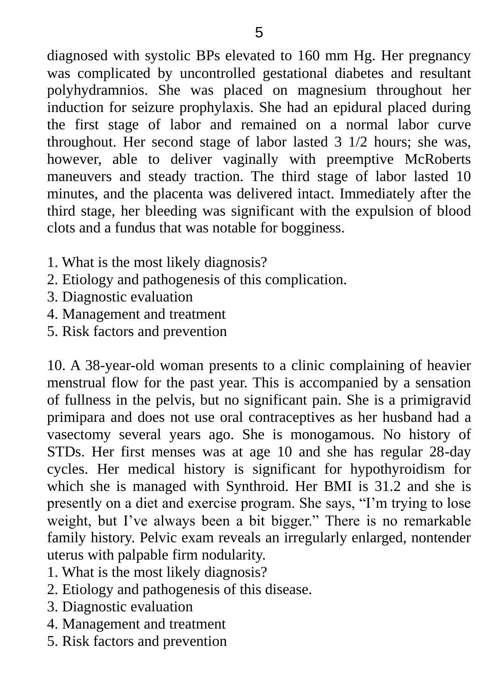diagnosed with systolic BPs elevated to 160 mm Hg. Her pregnancy was complicated by uncontrolled gestational diabetes and resultant polyhydramnios. She was placed on magnesium throughout her induction for seizure prophylaxis. She had an epidural placed during the first stage of labor and remained on a normal labor curve throughout. Her second stage of labor lasted 3 1/2 hours; she was, however, able to deliver vaginally with preemptive McRoberts maneuvers and steady traction. The third stage of labor lasted 10 minutes, and the placenta was delivered intact. Immediately after the third stage, her bleeding was significant with the expulsion of blood clots and a fundus that was notable for bogginess.

- 1. What is the most likely diagnosis?
- 2. Etiology and pathogenesis of this complication.
- 3. Diagnostic evaluation
- 4. Management and treatment
- 5. Risk factors and prevention

10. A 38-year-old woman presents to a clinic complaining of heavier menstrual flow for the past year. This is accompanied by a sensation of fullness in the pelvis, but no significant pain. She is a primigravid primipara and does not use oral contraceptives as her husband had a vasectomy several years ago. She is monogamous. No history of STDs. Her first menses was at age 10 and she has regular 28-day cycles. Her medical history is significant for hypothyroidism for which she is managed with Synthroid. Her BMI is 31.2 and she is presently on a diet and exercise program. She says, "I'm trying to lose weight, but I've always been a bit bigger." There is no remarkable family history. Pelvic exam reveals an irregularly enlarged, nontender uterus with palpable firm nodularity.

- 1. What is the most likely diagnosis?
- 2. Etiology and pathogenesis of this disease.
- 3. Diagnostic evaluation
- 4. Management and treatment
- 5. Risk factors and prevention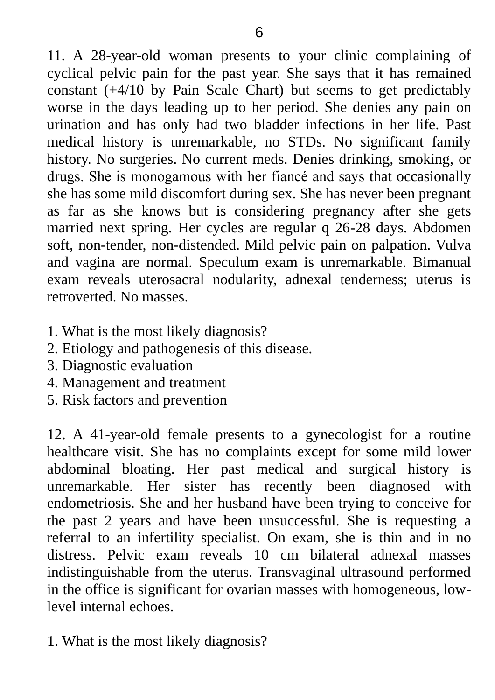11. A 28-year-old woman presents to your clinic complaining of cyclical pelvic pain for the past year. She says that it has remained constant (+4/10 by Pain Scale Chart) but seems to get predictably worse in the days leading up to her period. She denies any pain on urination and has only had two bladder infections in her life. Past medical history is unremarkable, no STDs. No significant family history. No surgeries. No current meds. Denies drinking, smoking, or drugs. She is monogamous with her fiancé and says that occasionally she has some mild discomfort during sex. She has never been pregnant as far as she knows but is considering pregnancy after she gets married next spring. Her cycles are regular q 26-28 days. Abdomen soft, non-tender, non-distended. Mild pelvic pain on palpation. Vulva and vagina are normal. Speculum exam is unremarkable. Bimanual exam reveals uterosacral nodularity, adnexal tenderness; uterus is retroverted. No masses.

- 1. What is the most likely diagnosis?
- 2. Etiology and pathogenesis of this disease.
- 3. Diagnostic evaluation
- 4. Management and treatment
- 5. Risk factors and prevention

12. A 41-year-old female presents to a gynecologist for a routine healthcare visit. She has no complaints except for some mild lower abdominal bloating. Her past medical and surgical history is unremarkable. Her sister has recently been diagnosed with endometriosis. She and her husband have been trying to conceive for the past 2 years and have been unsuccessful. She is requesting a referral to an infertility specialist. On exam, she is thin and in no distress. Pelvic exam reveals 10 cm bilateral adnexal masses indistinguishable from the uterus. Transvaginal ultrasound performed in the office is significant for ovarian masses with homogeneous, lowlevel internal echoes.

1. What is the most likely diagnosis?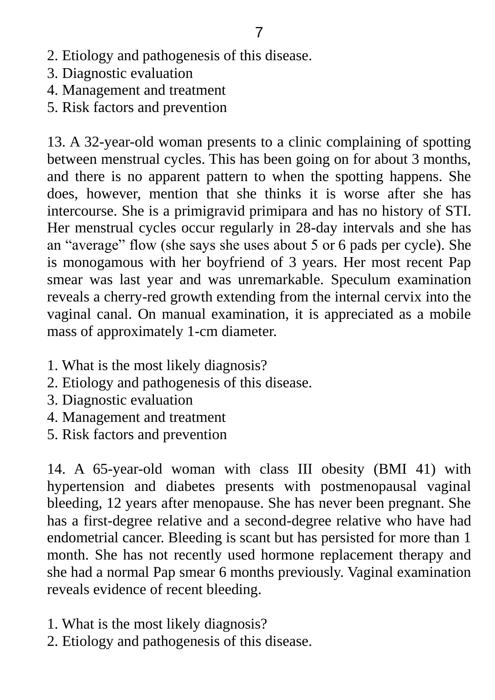- 2. Etiology and pathogenesis of this disease.
- 3. Diagnostic evaluation
- 4. Management and treatment
- 5. Risk factors and prevention

13. A 32-year-old woman presents to a clinic complaining of spotting between menstrual cycles. This has been going on for about 3 months, and there is no apparent pattern to when the spotting happens. She does, however, mention that she thinks it is worse after she has intercourse. She is a primigravid primipara and has no history of STI. Her menstrual cycles occur regularly in 28-day intervals and she has an "average" flow (she says she uses about 5 or 6 pads per cycle). She is monogamous with her boyfriend of 3 years. Her most recent Pap smear was last year and was unremarkable. Speculum examination reveals a cherry-red growth extending from the internal cervix into the vaginal canal. On manual examination, it is appreciated as a mobile mass of approximately 1-cm diameter.

- 1. What is the most likely diagnosis?
- 2. Etiology and pathogenesis of this disease.
- 3. Diagnostic evaluation
- 4. Management and treatment
- 5. Risk factors and prevention

14. A 65-year-old woman with class III obesity (BMI 41) with hypertension and diabetes presents with postmenopausal vaginal bleeding, 12 years after menopause. She has never been pregnant. She has a first-degree relative and a second-degree relative who have had endometrial cancer. Bleeding is scant but has persisted for more than 1 month. She has not recently used hormone replacement therapy and she had a normal Pap smear 6 months previously. Vaginal examination reveals evidence of recent bleeding.

- 1. What is the most likely diagnosis?
- 2. Etiology and pathogenesis of this disease.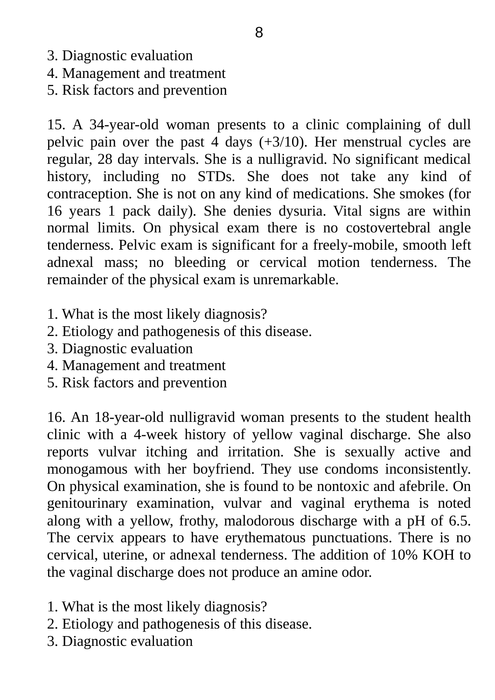- 3. Diagnostic evaluation
- 4. Management and treatment
- 5. Risk factors and prevention

15. A 34-year-old woman presents to a clinic complaining of dull pelvic pain over the past 4 days (+3/10). Her menstrual cycles are regular, 28 day intervals. She is a nulligravid. No significant medical history, including no STDs. She does not take any kind of contraception. She is not on any kind of medications. She smokes (for 16 years 1 pack daily). She denies dysuria. Vital signs are within normal limits. On physical exam there is no costovertebral angle tenderness. Pelvic exam is significant for a freely-mobile, smooth left adnexal mass; no bleeding or cervical motion tenderness. The remainder of the physical exam is unremarkable.

- 1. What is the most likely diagnosis?
- 2. Etiology and pathogenesis of this disease.
- 3. Diagnostic evaluation
- 4. Management and treatment
- 5. Risk factors and prevention

16. An 18-year-old nulligravid woman presents to the student health clinic with a 4-week history of yellow vaginal discharge. She also reports vulvar itching and irritation. She is sexually active and monogamous with her boyfriend. They use condoms inconsistently. On physical examination, she is found to be nontoxic and afebrile. On genitourinary examination, vulvar and vaginal erythema is noted along with a yellow, frothy, malodorous discharge with a pH of 6.5. The cervix appears to have erythematous punctuations. There is no cervical, uterine, or adnexal tenderness. The addition of 10% KOH to the vaginal discharge does not produce an amine odor.

- 1. What is the most likely diagnosis?
- 2. Etiology and pathogenesis of this disease.
- 3. Diagnostic evaluation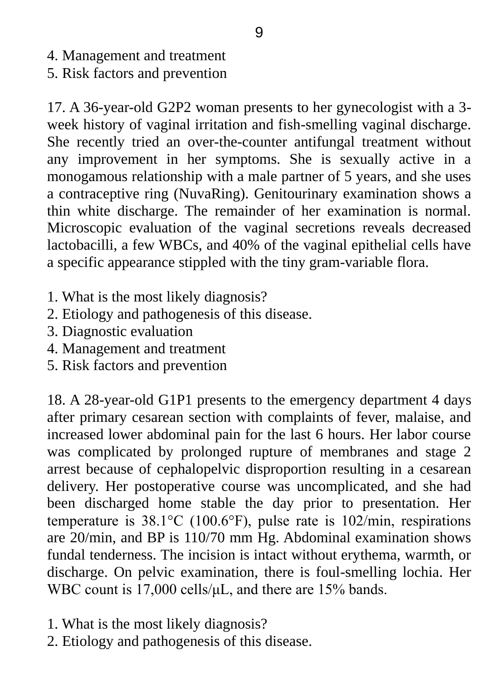- 4. Management and treatment
- 5. Risk factors and prevention

17. A 36-year-old G2P2 woman presents to her gynecologist with a 3 week history of vaginal irritation and fish-smelling vaginal discharge. She recently tried an over-the-counter antifungal treatment without any improvement in her symptoms. She is sexually active in a monogamous relationship with a male partner of 5 years, and she uses a contraceptive ring (NuvaRing). Genitourinary examination shows a thin white discharge. The remainder of her examination is normal. Microscopic evaluation of the vaginal secretions reveals decreased lactobacilli, a few WBCs, and 40% of the vaginal epithelial cells have a specific appearance stippled with the tiny gram-variable flora.

- 1. What is the most likely diagnosis?
- 2. Etiology and pathogenesis of this disease.
- 3. Diagnostic evaluation
- 4. Management and treatment
- 5. Risk factors and prevention

18. A 28-year-old G1P1 presents to the emergency department 4 days after primary cesarean section with complaints of fever, malaise, and increased lower abdominal pain for the last 6 hours. Her labor course was complicated by prolonged rupture of membranes and stage 2 arrest because of cephalopelvic disproportion resulting in a cesarean delivery. Her postoperative course was uncomplicated, and she had been discharged home stable the day prior to presentation. Her temperature is 38.1°C (100.6°F), pulse rate is 102/min, respirations are 20/min, and BP is 110/70 mm Hg. Abdominal examination shows fundal tenderness. The incision is intact without erythema, warmth, or discharge. On pelvic examination, there is foul-smelling lochia. Her WBC count is 17,000 cells/μL, and there are 15% bands.

- 1. What is the most likely diagnosis?
- 2. Etiology and pathogenesis of this disease.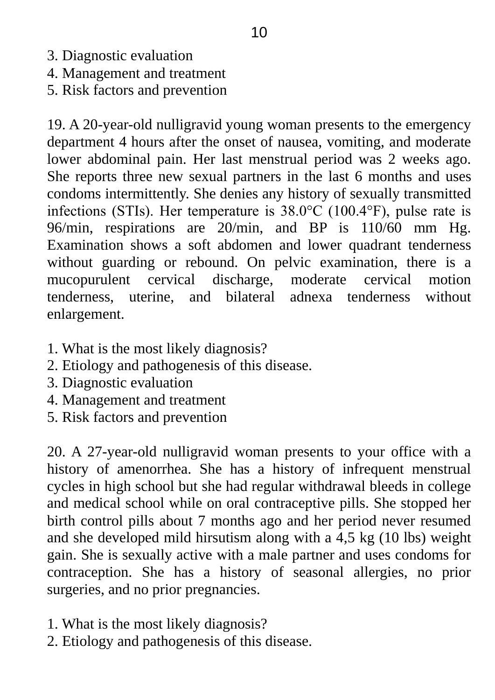- 3. Diagnostic evaluation
- 4. Management and treatment
- 5. Risk factors and prevention

19. A 20-year-old nulligravid young woman presents to the emergency department 4 hours after the onset of nausea, vomiting, and moderate lower abdominal pain. Her last menstrual period was 2 weeks ago. She reports three new sexual partners in the last 6 months and uses condoms intermittently. She denies any history of sexually transmitted infections (STIs). Her temperature is 38.0°C (100.4°F), pulse rate is 96/min, respirations are 20/min, and BP is 110/60 mm Hg. Examination shows a soft abdomen and lower quadrant tenderness without guarding or rebound. On pelvic examination, there is a mucopurulent cervical discharge, moderate cervical motion tenderness, uterine, and bilateral adnexa tenderness without enlargement.

- 1. What is the most likely diagnosis?
- 2. Etiology and pathogenesis of this disease.
- 3. Diagnostic evaluation
- 4. Management and treatment
- 5. Risk factors and prevention

20. A 27-year-old nulligravid woman presents to your office with a history of amenorrhea. She has a history of infrequent menstrual cycles in high school but she had regular withdrawal bleeds in college and medical school while on oral contraceptive pills. She stopped her birth control pills about 7 months ago and her period never resumed and she developed mild hirsutism along with a 4,5 kg (10 lbs) weight gain. She is sexually active with a male partner and uses condoms for contraception. She has a history of seasonal allergies, no prior surgeries, and no prior pregnancies.

- 1. What is the most likely diagnosis?
- 2. Etiology and pathogenesis of this disease.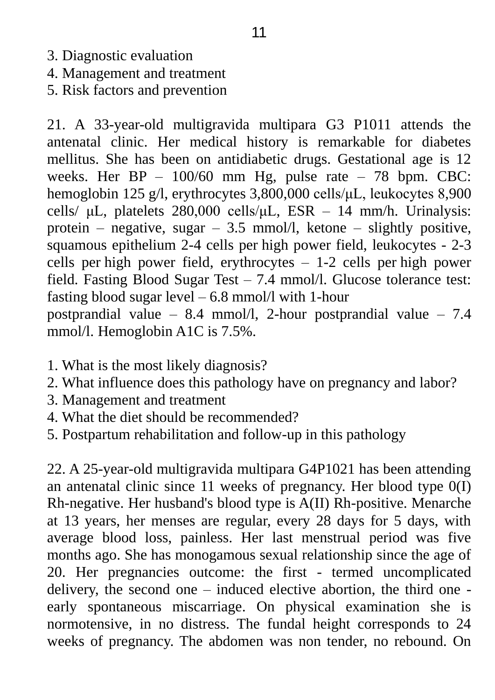- 3. Diagnostic evaluation
- 4. Management and treatment
- 5. Risk factors and prevention

21. A 33-year-old multigravida multipara G3 P1011 attends the antenatal clinic. Her medical history is remarkable for diabetes mellitus. She has been on antidiabetic drugs. Gestational age is 12 weeks. Her  $BP - 100/60$  mm Hg, pulse rate  $-78$  bpm. CBC: hemoglobin 125 g/l, erythrocytes 3,800,000 cells/μL, leukocytes 8,900 cells/ μL, platelets 280,000 cells/μL, ESR – 14 mm/h. Urinalysis: protein – negative, sugar – 3.5 mmol/l, ketone – slightly positive, squamous epithelium 2-4 cells per high power field, leukocytes - 2-3 cells per high power field, erythrocytes – 1-2 cells per high power field. Fasting Blood Sugar Test – 7.4 mmol/l. Glucose tolerance test: fasting blood sugar level  $-6.8$  mmol/l with 1-hour postprandial value – 8.4 mmol/l, 2-hour postprandial value – 7.4 mmol/l. Hemoglobin A1C is 7.5%.

- 1. What is the most likely diagnosis?
- 2. What influence does this pathology have on pregnancy and labor?
- 3. Management and treatment
- 4. What the diet should be recommended?
- 5. Postpartum rehabilitation and follow-up in this pathology

22. A 25-year-old multigravida multipara G4P1021 has been attending an antenatal clinic since 11 weeks of pregnancy. Her blood type 0(I) Rh-negative. Her husband's blood type is A(II) Rh-positive. Menarche at 13 years, her menses are regular, every 28 days for 5 days, with average blood loss, painless. Her last menstrual period was five months ago. She has monogamous sexual relationship since the age of 20. Her pregnancies outcome: the first - termed uncomplicated delivery, the second one – induced elective abortion, the third one early spontaneous miscarriage. On physical examination she is normotensive, in no distress. The fundal height corresponds to 24 weeks of pregnancy. The abdomen was non tender, no rebound. On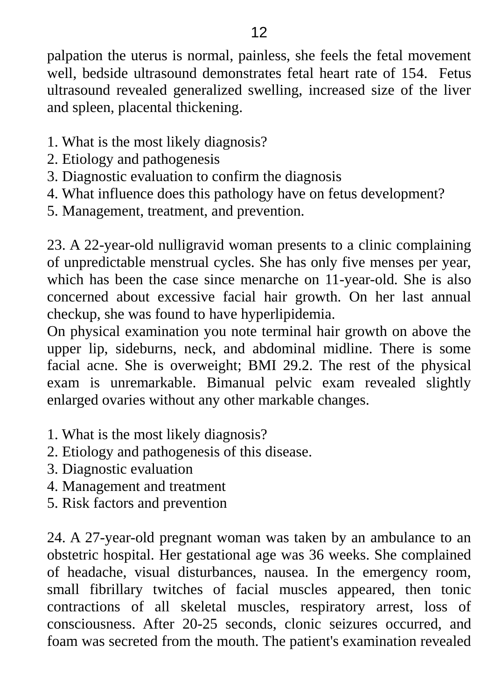palpation the uterus is normal, painless, she feels the fetal movement well, bedside ultrasound demonstrates fetal heart rate of 154. Fetus ultrasound revealed generalized swelling, increased size of the liver and spleen, placental thickening.

- 1. What is the most likely diagnosis?
- 2. Etiology and pathogenesis
- 3. Diagnostic evaluation to confirm the diagnosis
- 4. What influence does this pathology have on fetus development?
- 5. Management, treatment, and prevention.

23. A 22-year-old nulligravid woman presents to a clinic complaining of unpredictable menstrual cycles. She has only five menses per year, which has been the case since menarche on 11-year-old. She is also concerned about excessive facial hair growth. On her last annual checkup, she was found to have hyperlipidemia.

On physical examination you note terminal hair growth on above the upper lip, sideburns, neck, and abdominal midline. There is some facial acne. She is overweight; BMI 29.2. The rest of the physical exam is unremarkable. Bimanual pelvic exam revealed slightly enlarged ovaries without any other markable changes.

- 1. What is the most likely diagnosis?
- 2. Etiology and pathogenesis of this disease.
- 3. Diagnostic evaluation
- 4. Management and treatment
- 5. Risk factors and prevention

24. A 27-year-old pregnant woman was taken by an ambulance to an obstetric hospital. Her gestational age was 36 weeks. She complained of headache, visual disturbances, nausea. In the emergency room, small fibrillary twitches of facial muscles appeared, then tonic contractions of all skeletal muscles, respiratory arrest, loss of consciousness. After 20-25 seconds, clonic seizures occurred, and foam was secreted from the mouth. The patient's examination revealed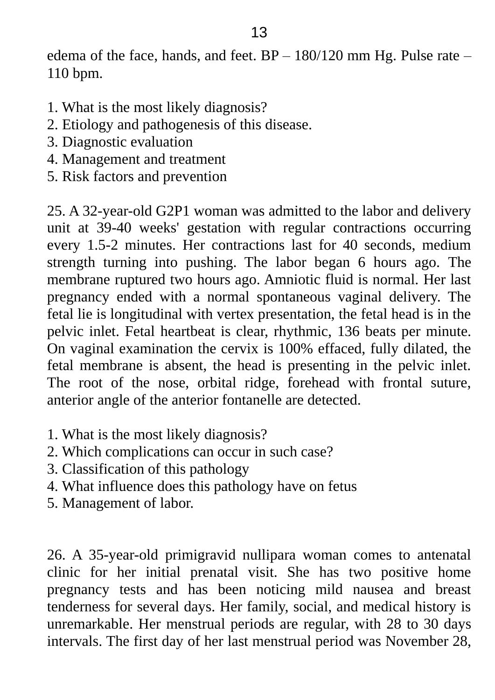edema of the face, hands, and feet.  $BP - 180/120$  mm Hg. Pulse rate – 110 bpm.

- 1. What is the most likely diagnosis?
- 2. Etiology and pathogenesis of this disease.
- 3. Diagnostic evaluation
- 4. Management and treatment
- 5. Risk factors and prevention

25. A 32-year-old G2P1 woman was admitted to the labor and delivery unit at 39-40 weeks' gestation with regular contractions occurring every 1.5-2 minutes. Her contractions last for 40 seconds, medium strength turning into pushing. The labor began 6 hours ago. The membrane ruptured two hours ago. Amniotic fluid is normal. Her last pregnancy ended with a normal spontaneous vaginal delivery. The fetal lie is longitudinal with vertex presentation, the fetal head is in the pelvic inlet. Fetal heartbeat is clear, rhythmic, 136 beats per minute. On vaginal examination the cervix is 100% effaced, fully dilated, the fetal membrane is absent, the head is presenting in the pelvic inlet. The root of the nose, orbital ridge, forehead with frontal suture, anterior angle of the anterior fontanelle are detected.

- 1. What is the most likely diagnosis?
- 2. Which complications can occur in such case?
- 3. Classification of this pathology
- 4. What influence does this pathology have on fetus
- 5. Management of labor.

26. A 35-year-old primigravid nullipara woman comes to antenatal clinic for her initial prenatal visit. She has two positive home pregnancy tests and has been noticing mild nausea and breast tenderness for several days. Her family, social, and medical history is unremarkable. Her menstrual periods are regular, with 28 to 30 days intervals. The first day of her last menstrual period was November 28,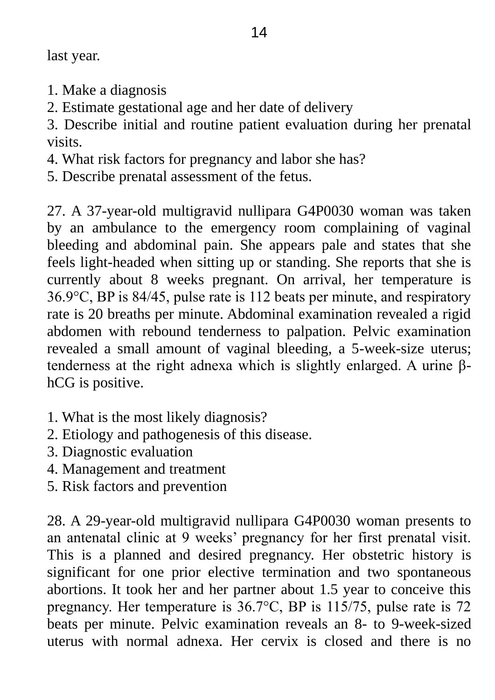last year.

- 1. Make a diagnosis
- 2. Estimate gestational age and her date of delivery

3. Describe initial and routine patient evaluation during her prenatal visits.

4. What risk factors for pregnancy and labor she has?

5. Describe prenatal assessment of the fetus.

27. A 37-year-old multigravid nullipara G4P0030 woman was taken by an ambulance to the emergency room complaining of vaginal bleeding and abdominal pain. She appears pale and states that she feels light-headed when sitting up or standing. She reports that she is currently about 8 weeks pregnant. On arrival, her temperature is 36.9°C, BP is 84/45, pulse rate is 112 beats per minute, and respiratory rate is 20 breaths per minute. Abdominal examination revealed a rigid abdomen with rebound tenderness to palpation. Pelvic examination revealed a small amount of vaginal bleeding, a 5-week-size uterus; tenderness at the right adnexa which is slightly enlarged. A urine βhCG is positive.

- 1. What is the most likely diagnosis?
- 2. Etiology and pathogenesis of this disease.
- 3. Diagnostic evaluation
- 4. Management and treatment
- 5. Risk factors and prevention

28. A 29-year-old multigravid nullipara G4P0030 woman presents to an antenatal clinic at 9 weeks' pregnancy for her first prenatal visit. This is a planned and desired pregnancy. Her obstetric history is significant for one prior elective termination and two spontaneous abortions. It took her and her partner about 1.5 year to conceive this pregnancy. Her temperature is 36.7°C, BP is 115/75, pulse rate is 72 beats per minute. Pelvic examination reveals an 8- to 9-week-sized uterus with normal adnexa. Her cervix is closed and there is no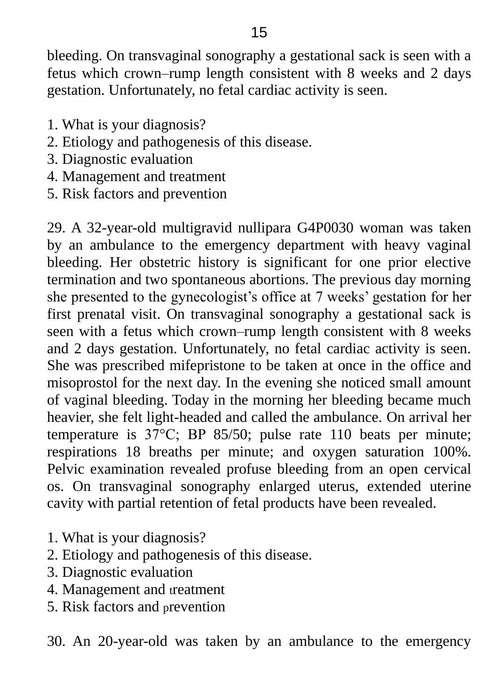bleeding. On transvaginal sonography a gestational sack is seen with a fetus which crown–rump length consistent with 8 weeks and 2 days gestation. Unfortunately, no fetal cardiac activity is seen.

- 1. What is your diagnosis?
- 2. Etiology and pathogenesis of this disease.
- 3. Diagnostic evaluation
- 4. Management and treatment
- 5. Risk factors and prevention

29. A 32-year-old multigravid nullipara G4P0030 woman was taken by an ambulance to the emergency department with heavy vaginal bleeding. Her obstetric history is significant for one prior elective termination and two spontaneous abortions. The previous day morning she presented to the gynecologist's office at 7 weeks' gestation for her first prenatal visit. On transvaginal sonography a gestational sack is seen with a fetus which crown–rump length consistent with 8 weeks and 2 days gestation. Unfortunately, no fetal cardiac activity is seen. She was prescribed mifepristone to be taken at once in the office and misoprostol for the next day. In the evening she noticed small amount of vaginal bleeding. Today in the morning her bleeding became much heavier, she felt light-headed and called the ambulance. On arrival her temperature is 37°C; BP 85/50; pulse rate 110 beats per minute; respirations 18 breaths per minute; and oxygen saturation 100%. Pelvic examination revealed profuse bleeding from an open cervical os. On transvaginal sonography enlarged uterus, extended uterine cavity with partial retention of fetal products have been revealed.

- 1. What is your diagnosis?
- 2. Etiology and pathogenesis of this disease.
- 3. Diagnostic evaluation
- 4. Management and treatment
- 5. Risk factors and prevention

30. An 20-year-old was taken by an ambulance to the emergency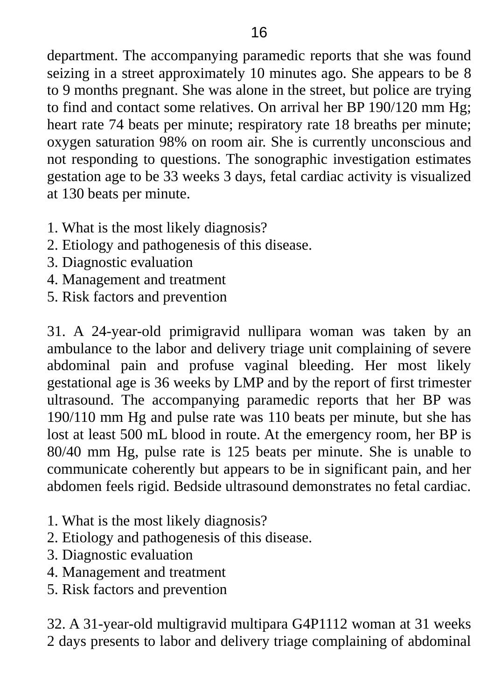department. The accompanying paramedic reports that she was found seizing in a street approximately 10 minutes ago. She appears to be 8 to 9 months pregnant. She was alone in the street, but police are trying to find and contact some relatives. On arrival her BP 190/120 mm Hg; heart rate 74 beats per minute; respiratory rate 18 breaths per minute; oxygen saturation 98% on room air. She is currently unconscious and not responding to questions. The sonographic investigation estimates gestation age to be 33 weeks 3 days, fetal cardiac activity is visualized at 130 beats per minute.

- 1. What is the most likely diagnosis?
- 2. Etiology and pathogenesis of this disease.
- 3. Diagnostic evaluation
- 4. Management and treatment
- 5. Risk factors and prevention

31. A 24-year-old primigravid nullipara woman was taken by an ambulance to the labor and delivery triage unit complaining of severe abdominal pain and profuse vaginal bleeding. Her most likely gestational age is 36 weeks by LMP and by the report of first trimester ultrasound. The accompanying paramedic reports that her BP was 190/110 mm Hg and pulse rate was 110 beats per minute, but she has lost at least 500 mL blood in route. At the emergency room, her BP is 80/40 mm Hg, pulse rate is 125 beats per minute. She is unable to communicate coherently but appears to be in significant pain, and her abdomen feels rigid. Bedside ultrasound demonstrates no fetal cardiac.

- 1. What is the most likely diagnosis?
- 2. Etiology and pathogenesis of this disease.
- 3. Diagnostic evaluation
- 4. Management and treatment
- 5. Risk factors and prevention

32. A 31-year-old multigravid multipara G4P1112 woman at 31 weeks 2 days presents to labor and delivery triage complaining of abdominal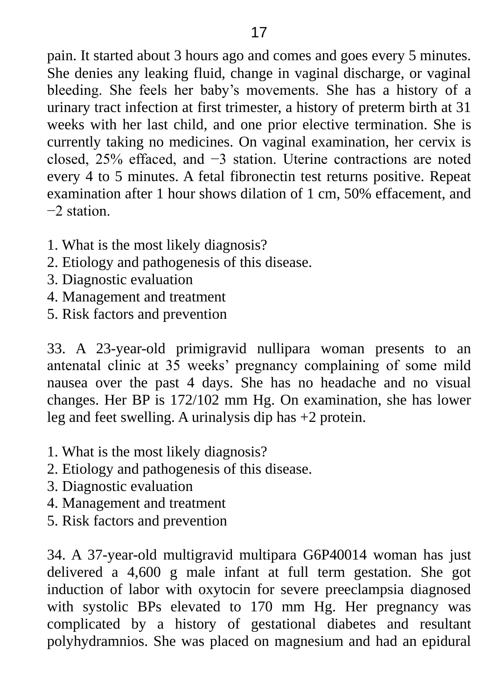pain. It started about 3 hours ago and comes and goes every 5 minutes. She denies any leaking fluid, change in vaginal discharge, or vaginal bleeding. She feels her baby's movements. She has a history of a urinary tract infection at first trimester, a history of preterm birth at 31 weeks with her last child, and one prior elective termination. She is currently taking no medicines. On vaginal examination, her cervix is closed, 25% effaced, and −3 station. Uterine contractions are noted every 4 to 5 minutes. A fetal fibronectin test returns positive. Repeat examination after 1 hour shows dilation of 1 cm, 50% effacement, and −2 station.

- 1. What is the most likely diagnosis?
- 2. Etiology and pathogenesis of this disease.
- 3. Diagnostic evaluation
- 4. Management and treatment
- 5. Risk factors and prevention

33. A 23-year-old primigravid nullipara woman presents to an antenatal clinic at 35 weeks' pregnancy complaining of some mild nausea over the past 4 days. She has no headache and no visual changes. Her BP is 172/102 mm Hg. On examination, she has lower leg and feet swelling. A urinalysis dip has +2 protein.

- 1. What is the most likely diagnosis?
- 2. Etiology and pathogenesis of this disease.
- 3. Diagnostic evaluation
- 4. Management and treatment
- 5. Risk factors and prevention

34. A 37-year-old multigravid multipara G6P40014 woman has just delivered a 4,600 g male infant at full term gestation. She got induction of labor with oxytocin for severe preeclampsia diagnosed with systolic BPs elevated to 170 mm Hg. Her pregnancy was complicated by a history of gestational diabetes and resultant polyhydramnios. She was placed on magnesium and had an epidural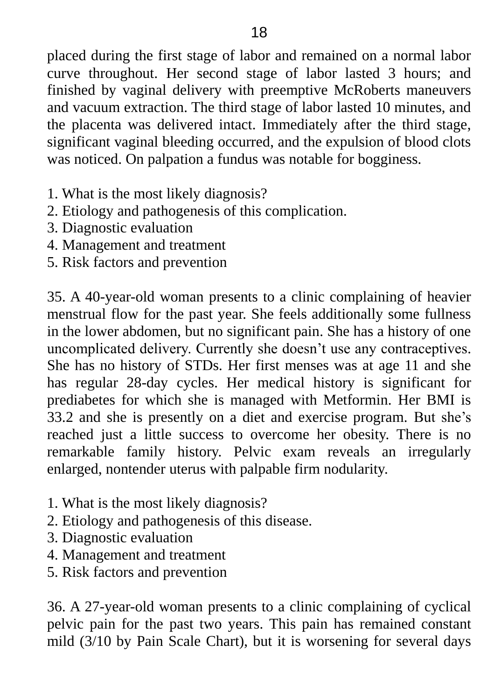placed during the first stage of labor and remained on a normal labor curve throughout. Her second stage of labor lasted 3 hours; and finished by vaginal delivery with preemptive McRoberts maneuvers and vacuum extraction. The third stage of labor lasted 10 minutes, and the placenta was delivered intact. Immediately after the third stage, significant vaginal bleeding occurred, and the expulsion of blood clots was noticed. On palpation a fundus was notable for bogginess.

- 1. What is the most likely diagnosis?
- 2. Etiology and pathogenesis of this complication.
- 3. Diagnostic evaluation
- 4. Management and treatment
- 5. Risk factors and prevention

35. A 40-year-old woman presents to a clinic complaining of heavier menstrual flow for the past year. She feels additionally some fullness in the lower abdomen, but no significant pain. She has a history of one uncomplicated delivery. Currently she doesn't use any contraceptives. She has no history of STDs. Her first menses was at age 11 and she has regular 28-day cycles. Her medical history is significant for prediabetes for which she is managed with Metformin. Her BMI is 33.2 and she is presently on a diet and exercise program. But she's reached just a little success to overcome her obesity. There is no remarkable family history. Pelvic exam reveals an irregularly enlarged, nontender uterus with palpable firm nodularity.

- 1. What is the most likely diagnosis?
- 2. Etiology and pathogenesis of this disease.
- 3. Diagnostic evaluation
- 4. Management and treatment
- 5. Risk factors and prevention

36. A 27-year-old woman presents to a clinic complaining of cyclical pelvic pain for the past two years. This pain has remained constant mild (3/10 by Pain Scale Chart), but it is worsening for several days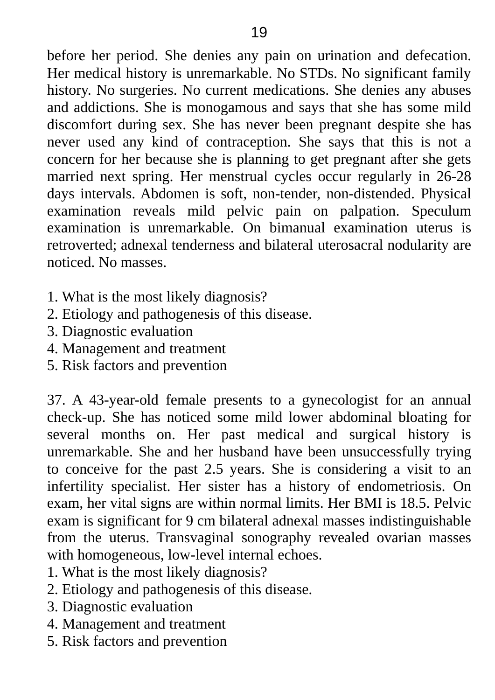before her period. She denies any pain on urination and defecation. Her medical history is unremarkable. No STDs. No significant family history. No surgeries. No current medications. She denies any abuses and addictions. She is monogamous and says that she has some mild discomfort during sex. She has never been pregnant despite she has never used any kind of contraception. She says that this is not a concern for her because she is planning to get pregnant after she gets married next spring. Her menstrual cycles occur regularly in 26-28 days intervals. Abdomen is soft, non-tender, non-distended. Physical examination reveals mild pelvic pain on palpation. Speculum examination is unremarkable. On bimanual examination uterus is retroverted; adnexal tenderness and bilateral uterosacral nodularity are noticed. No masses.

- 1. What is the most likely diagnosis?
- 2. Etiology and pathogenesis of this disease.
- 3. Diagnostic evaluation
- 4. Management and treatment
- 5. Risk factors and prevention

37. A 43-year-old female presents to a gynecologist for an annual check-up. She has noticed some mild lower abdominal bloating for several months on. Her past medical and surgical history is unremarkable. She and her husband have been unsuccessfully trying to conceive for the past 2.5 years. She is considering a visit to an infertility specialist. Her sister has a history of endometriosis. On exam, her vital signs are within normal limits. Her BMI is 18.5. Pelvic exam is significant for 9 cm bilateral adnexal masses indistinguishable from the uterus. Transvaginal sonography revealed ovarian masses with homogeneous, low-level internal echoes.

- 1. What is the most likely diagnosis?
- 2. Etiology and pathogenesis of this disease.
- 3. Diagnostic evaluation
- 4. Management and treatment
- 5. Risk factors and prevention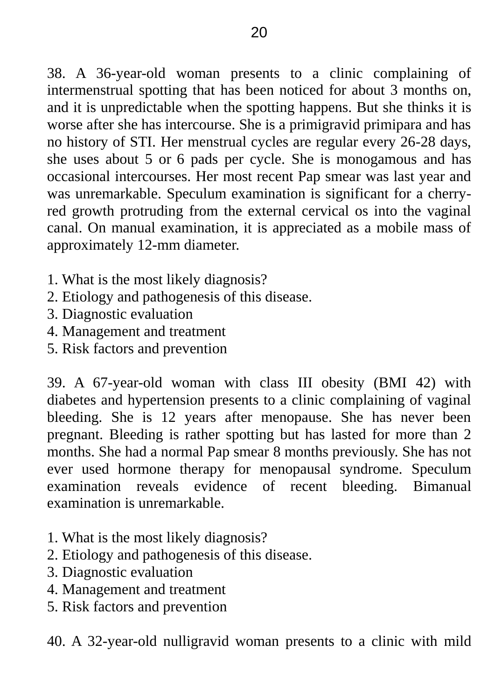38. A 36-year-old woman presents to a clinic complaining of intermenstrual spotting that has been noticed for about 3 months on, and it is unpredictable when the spotting happens. But she thinks it is worse after she has intercourse. She is a primigravid primipara and has no history of STI. Her menstrual cycles are regular every 26-28 days, she uses about 5 or 6 pads per cycle. She is monogamous and has occasional intercourses. Her most recent Pap smear was last year and was unremarkable. Speculum examination is significant for a cherryred growth protruding from the external cervical os into the vaginal canal. On manual examination, it is appreciated as a mobile mass of approximately 12-mm diameter.

- 1. What is the most likely diagnosis?
- 2. Etiology and pathogenesis of this disease.
- 3. Diagnostic evaluation
- 4. Management and treatment
- 5. Risk factors and prevention

39. A 67-year-old woman with class III obesity (BMI 42) with diabetes and hypertension presents to a clinic complaining of vaginal bleeding. She is 12 years after menopause. She has never been pregnant. Bleeding is rather spotting but has lasted for more than 2 months. She had a normal Pap smear 8 months previously. She has not ever used hormone therapy for menopausal syndrome. Speculum examination reveals evidence of recent bleeding. Bimanual examination is unremarkable.

- 1. What is the most likely diagnosis?
- 2. Etiology and pathogenesis of this disease.
- 3. Diagnostic evaluation
- 4. Management and treatment
- 5. Risk factors and prevention

40. A 32-year-old nulligravid woman presents to a clinic with mild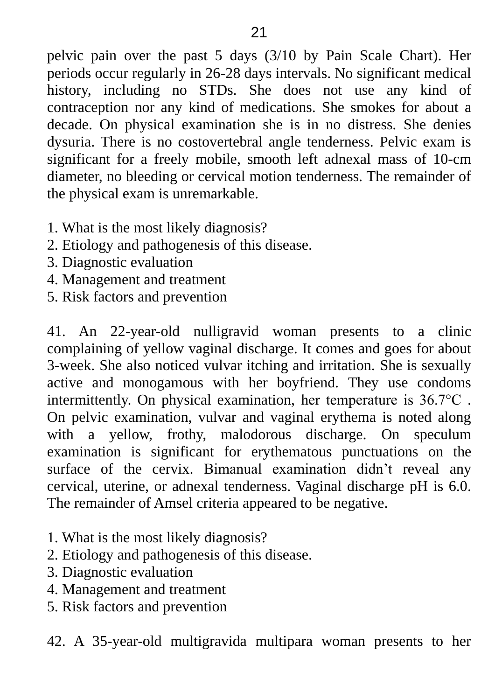pelvic pain over the past 5 days (3/10 by Pain Scale Chart). Her periods occur regularly in 26-28 days intervals. No significant medical history, including no STDs. She does not use any kind of contraception nor any kind of medications. She smokes for about a decade. On physical examination she is in no distress. She denies dysuria. There is no costovertebral angle tenderness. Pelvic exam is significant for a freely mobile, smooth left adnexal mass of 10-cm diameter, no bleeding or cervical motion tenderness. The remainder of the physical exam is unremarkable.

- 1. What is the most likely diagnosis?
- 2. Etiology and pathogenesis of this disease.
- 3. Diagnostic evaluation
- 4. Management and treatment
- 5. Risk factors and prevention

41. An 22-year-old nulligravid woman presents to a clinic complaining of yellow vaginal discharge. It comes and goes for about 3-week. She also noticed vulvar itching and irritation. She is sexually active and monogamous with her boyfriend. They use condoms intermittently. On physical examination, her temperature is 36.7°C . On pelvic examination, vulvar and vaginal erythema is noted along with a yellow, frothy, malodorous discharge. On speculum examination is significant for erythematous punctuations on the surface of the cervix. Bimanual examination didn't reveal any cervical, uterine, or adnexal tenderness. Vaginal discharge pH is 6.0. The remainder of Amsel criteria appeared to be negative.

- 1. What is the most likely diagnosis?
- 2. Etiology and pathogenesis of this disease.
- 3. Diagnostic evaluation
- 4. Management and treatment
- 5. Risk factors and prevention

42. A 35-year-old multigravida multipara woman presents to her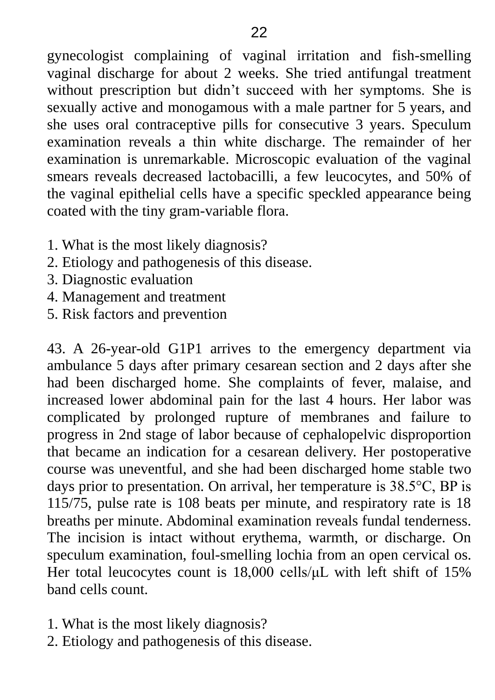gynecologist complaining of vaginal irritation and fish-smelling vaginal discharge for about 2 weeks. She tried antifungal treatment without prescription but didn't succeed with her symptoms. She is sexually active and monogamous with a male partner for 5 years, and she uses oral contraceptive pills for consecutive 3 years. Speculum examination reveals a thin white discharge. The remainder of her examination is unremarkable. Microscopic evaluation of the vaginal smears reveals decreased lactobacilli, a few leucocytes, and 50% of the vaginal epithelial cells have a specific speckled appearance being coated with the tiny gram-variable flora.

- 1. What is the most likely diagnosis?
- 2. Etiology and pathogenesis of this disease.
- 3. Diagnostic evaluation
- 4. Management and treatment
- 5. Risk factors and prevention

43. A 26-year-old G1P1 arrives to the emergency department via ambulance 5 days after primary cesarean section and 2 days after she had been discharged home. She complaints of fever, malaise, and increased lower abdominal pain for the last 4 hours. Her labor was complicated by prolonged rupture of membranes and failure to progress in 2nd stage of labor because of cephalopelvic disproportion that became an indication for a cesarean delivery. Her postoperative course was uneventful, and she had been discharged home stable two days prior to presentation. On arrival, her temperature is 38.5°C, BP is 115/75, pulse rate is 108 beats per minute, and respiratory rate is 18 breaths per minute. Abdominal examination reveals fundal tenderness. The incision is intact without erythema, warmth, or discharge. On speculum examination, foul-smelling lochia from an open cervical os. Her total leucocytes count is 18,000 cells/μL with left shift of 15% band cells count.

- 1. What is the most likely diagnosis?
- 2. Etiology and pathogenesis of this disease.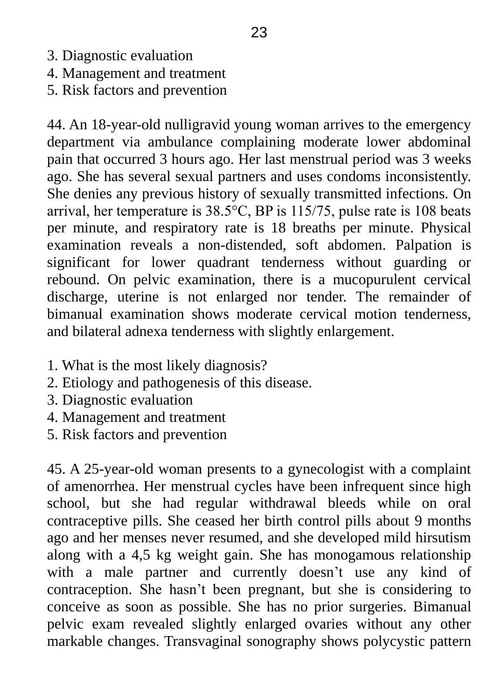- 3. Diagnostic evaluation
- 4. Management and treatment
- 5. Risk factors and prevention

44. An 18-year-old nulligravid young woman arrives to the emergency department via ambulance complaining moderate lower abdominal pain that occurred 3 hours ago. Her last menstrual period was 3 weeks ago. She has several sexual partners and uses condoms inconsistently. She denies any previous history of sexually transmitted infections. On arrival, her temperature is 38.5°C, BP is 115/75, pulse rate is 108 beats per minute, and respiratory rate is 18 breaths per minute. Physical examination reveals a non-distended, soft abdomen. Palpation is significant for lower quadrant tenderness without guarding or rebound. On pelvic examination, there is a mucopurulent cervical discharge, uterine is not enlarged nor tender. The remainder of bimanual examination shows moderate cervical motion tenderness, and bilateral adnexa tenderness with slightly enlargement.

- 1. What is the most likely diagnosis?
- 2. Etiology and pathogenesis of this disease.
- 3. Diagnostic evaluation
- 4. Management and treatment
- 5. Risk factors and prevention

45. A 25-year-old woman presents to a gynecologist with a complaint of amenorrhea. Her menstrual cycles have been infrequent since high school, but she had regular withdrawal bleeds while on oral contraceptive pills. She ceased her birth control pills about 9 months ago and her menses never resumed, and she developed mild hirsutism along with a 4,5 kg weight gain. She has monogamous relationship with a male partner and currently doesn't use any kind of contraception. She hasn't been pregnant, but she is considering to conceive as soon as possible. She has no prior surgeries. Bimanual pelvic exam revealed slightly enlarged ovaries without any other markable changes. Transvaginal sonography shows polycystic pattern